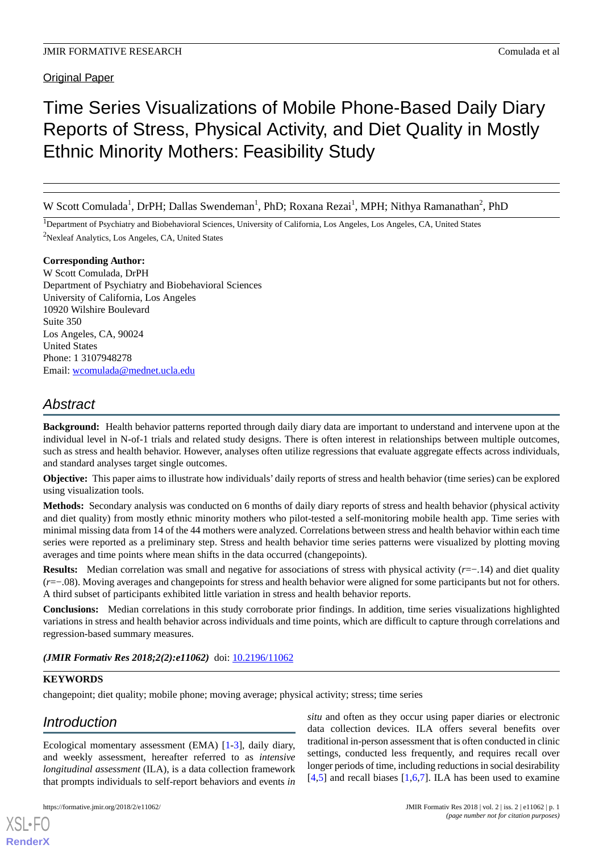# Time Series Visualizations of Mobile Phone-Based Daily Diary Reports of Stress, Physical Activity, and Diet Quality in Mostly Ethnic Minority Mothers: Feasibility Study

W Scott Comulada<sup>1</sup>, DrPH; Dallas Swendeman<sup>1</sup>, PhD; Roxana Rezai<sup>1</sup>, MPH; Nithya Ramanathan<sup>2</sup>, PhD

<sup>1</sup>Department of Psychiatry and Biobehavioral Sciences, University of California, Los Angeles, Los Angeles, CA, United States <sup>2</sup>Nexleaf Analytics, Los Angeles, CA, United States

#### **Corresponding Author:**

W Scott Comulada, DrPH Department of Psychiatry and Biobehavioral Sciences University of California, Los Angeles 10920 Wilshire Boulevard Suite 350 Los Angeles, CA, 90024 United States Phone: 1 3107948278 Email: [wcomulada@mednet.ucla.edu](mailto:wcomulada@mednet.ucla.edu)

## *Abstract*

**Background:** Health behavior patterns reported through daily diary data are important to understand and intervene upon at the individual level in N-of-1 trials and related study designs. There is often interest in relationships between multiple outcomes, such as stress and health behavior. However, analyses often utilize regressions that evaluate aggregate effects across individuals, and standard analyses target single outcomes.

**Objective:** This paper aims to illustrate how individuals' daily reports of stress and health behavior (time series) can be explored using visualization tools.

**Methods:** Secondary analysis was conducted on 6 months of daily diary reports of stress and health behavior (physical activity and diet quality) from mostly ethnic minority mothers who pilot-tested a self-monitoring mobile health app. Time series with minimal missing data from 14 of the 44 mothers were analyzed. Correlations between stress and health behavior within each time series were reported as a preliminary step. Stress and health behavior time series patterns were visualized by plotting moving averages and time points where mean shifts in the data occurred (changepoints).

**Results:** Median correlation was small and negative for associations of stress with physical activity (*r*=−.14) and diet quality (*r*=−.08). Moving averages and changepoints for stress and health behavior were aligned for some participants but not for others. A third subset of participants exhibited little variation in stress and health behavior reports.

**Conclusions:** Median correlations in this study corroborate prior findings. In addition, time series visualizations highlighted variations in stress and health behavior across individuals and time points, which are difficult to capture through correlations and regression-based summary measures.

*(JMIR Formativ Res 2018;2(2):e11062)* doi:  $10.2196/11062$ 

### **KEYWORDS**

changepoint; diet quality; mobile phone; moving average; physical activity; stress; time series

## *Introduction*

[XSL](http://www.w3.org/Style/XSL)•FO **[RenderX](http://www.renderx.com/)**

Ecological momentary assessment (EMA) [\[1-](#page-10-0)[3\]](#page-10-1), daily diary, and weekly assessment, hereafter referred to as *intensive longitudinal assessment* (ILA), is a data collection framework that prompts individuals to self-report behaviors and events *in*

*situ* and often as they occur using paper diaries or electronic data collection devices. ILA offers several benefits over traditional in-person assessment that is often conducted in clinic settings, conducted less frequently, and requires recall over longer periods of time, including reductions in social desirability  $[4,5]$  $[4,5]$  $[4,5]$  and recall biases  $[1,6,7]$  $[1,6,7]$  $[1,6,7]$  $[1,6,7]$  $[1,6,7]$ . ILA has been used to examine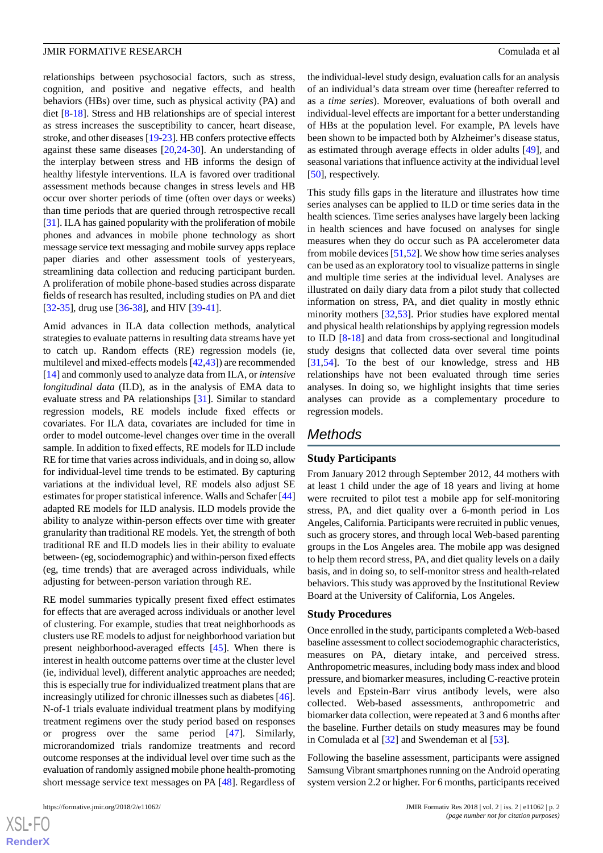relationships between psychosocial factors, such as stress, cognition, and positive and negative effects, and health behaviors (HBs) over time, such as physical activity (PA) and diet [[8-](#page-10-6)[18](#page-10-7)]. Stress and HB relationships are of special interest as stress increases the susceptibility to cancer, heart disease, stroke, and other diseases [\[19](#page-10-8)[-23](#page-11-0)]. HB confers protective effects against these same diseases [\[20](#page-11-1),[24-](#page-11-2)[30\]](#page-11-3). An understanding of the interplay between stress and HB informs the design of healthy lifestyle interventions. ILA is favored over traditional assessment methods because changes in stress levels and HB occur over shorter periods of time (often over days or weeks) than time periods that are queried through retrospective recall [[31\]](#page-11-4). ILA has gained popularity with the proliferation of mobile phones and advances in mobile phone technology as short message service text messaging and mobile survey apps replace paper diaries and other assessment tools of yesteryears, streamlining data collection and reducing participant burden. A proliferation of mobile phone-based studies across disparate fields of research has resulted, including studies on PA and diet [[32](#page-11-5)[-35](#page-11-6)], drug use [[36-](#page-11-7)[38\]](#page-11-8), and HIV [[39-](#page-11-9)[41](#page-11-10)].

Amid advances in ILA data collection methods, analytical strategies to evaluate patterns in resulting data streams have yet to catch up. Random effects (RE) regression models (ie, multilevel and mixed-effects models [\[42](#page-12-0),[43\]](#page-12-1)) are recommended [[14\]](#page-10-9) and commonly used to analyze data from ILA, or *intensive longitudinal data* (ILD), as in the analysis of EMA data to evaluate stress and PA relationships [[31\]](#page-11-4). Similar to standard regression models, RE models include fixed effects or covariates. For ILA data, covariates are included for time in order to model outcome-level changes over time in the overall sample. In addition to fixed effects, RE models for ILD include RE for time that varies across individuals, and in doing so, allow for individual-level time trends to be estimated. By capturing variations at the individual level, RE models also adjust SE estimates for proper statistical inference. Walls and Schafer [\[44](#page-12-2)] adapted RE models for ILD analysis. ILD models provide the ability to analyze within-person effects over time with greater granularity than traditional RE models. Yet, the strength of both traditional RE and ILD models lies in their ability to evaluate between- (eg, sociodemographic) and within-person fixed effects (eg, time trends) that are averaged across individuals, while adjusting for between-person variation through RE.

RE model summaries typically present fixed effect estimates for effects that are averaged across individuals or another level of clustering. For example, studies that treat neighborhoods as clusters use RE models to adjust for neighborhood variation but present neighborhood-averaged effects [\[45](#page-12-3)]. When there is interest in health outcome patterns over time at the cluster level (ie, individual level), different analytic approaches are needed; this is especially true for individualized treatment plans that are increasingly utilized for chronic illnesses such as diabetes [[46\]](#page-12-4). N-of-1 trials evaluate individual treatment plans by modifying treatment regimens over the study period based on responses or progress over the same period [\[47](#page-12-5)]. Similarly, microrandomized trials randomize treatments and record outcome responses at the individual level over time such as the evaluation of randomly assigned mobile phone health-promoting short message service text messages on PA [\[48](#page-12-6)]. Regardless of

 $XS$ -FO **[RenderX](http://www.renderx.com/)** the individual-level study design, evaluation calls for an analysis of an individual's data stream over time (hereafter referred to as a *time series*). Moreover, evaluations of both overall and individual-level effects are important for a better understanding of HBs at the population level. For example, PA levels have been shown to be impacted both by Alzheimer's disease status, as estimated through average effects in older adults [\[49](#page-12-7)], and seasonal variations that influence activity at the individual level [[50\]](#page-12-8), respectively.

This study fills gaps in the literature and illustrates how time series analyses can be applied to ILD or time series data in the health sciences. Time series analyses have largely been lacking in health sciences and have focused on analyses for single measures when they do occur such as PA accelerometer data from mobile devices [[51](#page-12-9)[,52](#page-12-10)]. We show how time series analyses can be used as an exploratory tool to visualize patterns in single and multiple time series at the individual level. Analyses are illustrated on daily diary data from a pilot study that collected information on stress, PA, and diet quality in mostly ethnic minority mothers [\[32](#page-11-5)[,53](#page-12-11)]. Prior studies have explored mental and physical health relationships by applying regression models to ILD [\[8](#page-10-6)[-18](#page-10-7)] and data from cross-sectional and longitudinal study designs that collected data over several time points [[31,](#page-11-4)[54\]](#page-12-12). To the best of our knowledge, stress and HB relationships have not been evaluated through time series analyses. In doing so, we highlight insights that time series analyses can provide as a complementary procedure to regression models.

### *Methods*

#### **Study Participants**

From January 2012 through September 2012, 44 mothers with at least 1 child under the age of 18 years and living at home were recruited to pilot test a mobile app for self-monitoring stress, PA, and diet quality over a 6-month period in Los Angeles, California. Participants were recruited in public venues, such as grocery stores, and through local Web-based parenting groups in the Los Angeles area. The mobile app was designed to help them record stress, PA, and diet quality levels on a daily basis, and in doing so, to self-monitor stress and health-related behaviors. This study was approved by the Institutional Review Board at the University of California, Los Angeles.

#### **Study Procedures**

Once enrolled in the study, participants completed a Web-based baseline assessment to collect sociodemographic characteristics, measures on PA, dietary intake, and perceived stress. Anthropometric measures, including body mass index and blood pressure, and biomarker measures, including C-reactive protein levels and Epstein-Barr virus antibody levels, were also collected. Web-based assessments, anthropometric and biomarker data collection, were repeated at 3 and 6 months after the baseline. Further details on study measures may be found in Comulada et al [\[32](#page-11-5)] and Swendeman et al [\[53](#page-12-11)].

Following the baseline assessment, participants were assigned Samsung Vibrant smartphones running on the Android operating system version 2.2 or higher. For 6 months, participants received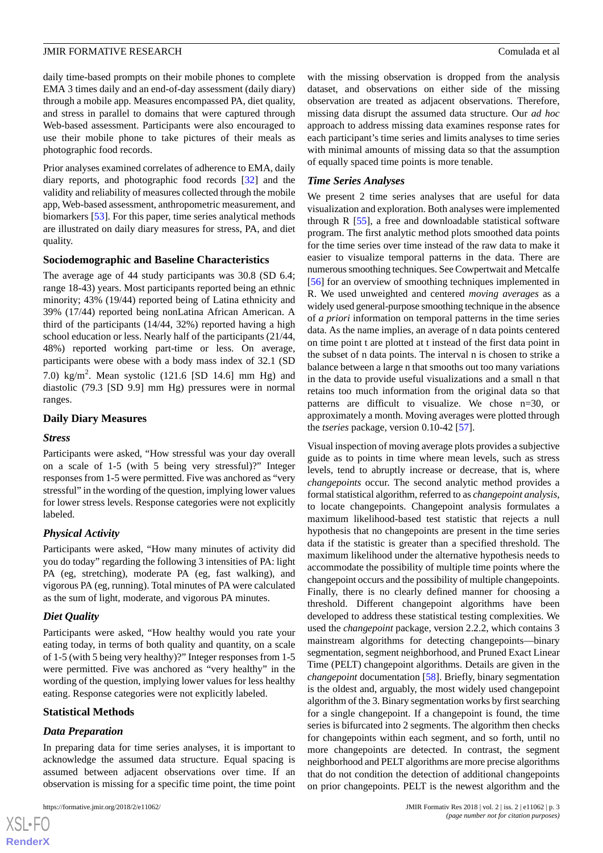daily time-based prompts on their mobile phones to complete EMA 3 times daily and an end-of-day assessment (daily diary) through a mobile app. Measures encompassed PA, diet quality, and stress in parallel to domains that were captured through Web-based assessment. Participants were also encouraged to use their mobile phone to take pictures of their meals as photographic food records.

Prior analyses examined correlates of adherence to EMA, daily diary reports, and photographic food records [[32\]](#page-11-5) and the validity and reliability of measures collected through the mobile app, Web-based assessment, anthropometric measurement, and biomarkers [\[53](#page-12-11)]. For this paper, time series analytical methods are illustrated on daily diary measures for stress, PA, and diet quality.

#### **Sociodemographic and Baseline Characteristics**

The average age of 44 study participants was 30.8 (SD 6.4; range 18-43) years. Most participants reported being an ethnic minority; 43% (19/44) reported being of Latina ethnicity and 39% (17/44) reported being nonLatina African American. A third of the participants (14/44, 32%) reported having a high school education or less. Nearly half of the participants (21/44, 48%) reported working part-time or less. On average, participants were obese with a body mass index of 32.1 (SD 7.0) kg/m<sup>2</sup>. Mean systolic (121.6 [SD 14.6] mm Hg) and diastolic (79.3 [SD 9.9] mm Hg) pressures were in normal ranges.

#### **Daily Diary Measures**

#### *Stress*

Participants were asked, "How stressful was your day overall on a scale of 1-5 (with 5 being very stressful)?" Integer responses from 1-5 were permitted. Five was anchored as "very stressful" in the wording of the question, implying lower values for lower stress levels. Response categories were not explicitly labeled.

#### *Physical Activity*

Participants were asked, "How many minutes of activity did you do today" regarding the following 3 intensities of PA: light PA (eg, stretching), moderate PA (eg, fast walking), and vigorous PA (eg, running). Total minutes of PA were calculated as the sum of light, moderate, and vigorous PA minutes.

#### *Diet Quality*

Participants were asked, "How healthy would you rate your eating today, in terms of both quality and quantity, on a scale of 1-5 (with 5 being very healthy)?" Integer responses from 1-5 were permitted. Five was anchored as "very healthy" in the wording of the question, implying lower values for less healthy eating. Response categories were not explicitly labeled.

#### **Statistical Methods**

#### *Data Preparation*

 $XS$ -FO **[RenderX](http://www.renderx.com/)**

In preparing data for time series analyses, it is important to acknowledge the assumed data structure. Equal spacing is assumed between adjacent observations over time. If an observation is missing for a specific time point, the time point

with the missing observation is dropped from the analysis dataset, and observations on either side of the missing observation are treated as adjacent observations. Therefore, missing data disrupt the assumed data structure. Our *ad hoc* approach to address missing data examines response rates for each participant's time series and limits analyses to time series with minimal amounts of missing data so that the assumption of equally spaced time points is more tenable.

#### *Time Series Analyses*

We present 2 time series analyses that are useful for data visualization and exploration. Both analyses were implemented through R [\[55](#page-12-13)], a free and downloadable statistical software program. The first analytic method plots smoothed data points for the time series over time instead of the raw data to make it easier to visualize temporal patterns in the data. There are numerous smoothing techniques. See Cowpertwait and Metcalfe [[56\]](#page-12-14) for an overview of smoothing techniques implemented in R. We used unweighted and centered *moving averages* as a widely used general-purpose smoothing technique in the absence of *a priori* information on temporal patterns in the time series data. As the name implies, an average of n data points centered on time point t are plotted at t instead of the first data point in the subset of n data points. The interval n is chosen to strike a balance between a large n that smooths out too many variations in the data to provide useful visualizations and a small n that retains too much information from the original data so that patterns are difficult to visualize. We chose n=30, or approximately a month. Moving averages were plotted through the *tseries* package, version 0.10-42 [\[57](#page-12-15)].

Visual inspection of moving average plots provides a subjective guide as to points in time where mean levels, such as stress levels, tend to abruptly increase or decrease, that is, where *changepoints* occur. The second analytic method provides a formal statistical algorithm, referred to as *changepoint analysis*, to locate changepoints. Changepoint analysis formulates a maximum likelihood-based test statistic that rejects a null hypothesis that no changepoints are present in the time series data if the statistic is greater than a specified threshold. The maximum likelihood under the alternative hypothesis needs to accommodate the possibility of multiple time points where the changepoint occurs and the possibility of multiple changepoints. Finally, there is no clearly defined manner for choosing a threshold. Different changepoint algorithms have been developed to address these statistical testing complexities. We used the *changepoint* package, version 2.2.2, which contains 3 mainstream algorithms for detecting changepoints—binary segmentation, segment neighborhood, and Pruned Exact Linear Time (PELT) changepoint algorithms. Details are given in the *changepoint* documentation [[58\]](#page-12-16). Briefly, binary segmentation is the oldest and, arguably, the most widely used changepoint algorithm of the 3. Binary segmentation works by first searching for a single changepoint. If a changepoint is found, the time series is bifurcated into 2 segments. The algorithm then checks for changepoints within each segment, and so forth, until no more changepoints are detected. In contrast, the segment neighborhood and PELT algorithms are more precise algorithms that do not condition the detection of additional changepoints on prior changepoints. PELT is the newest algorithm and the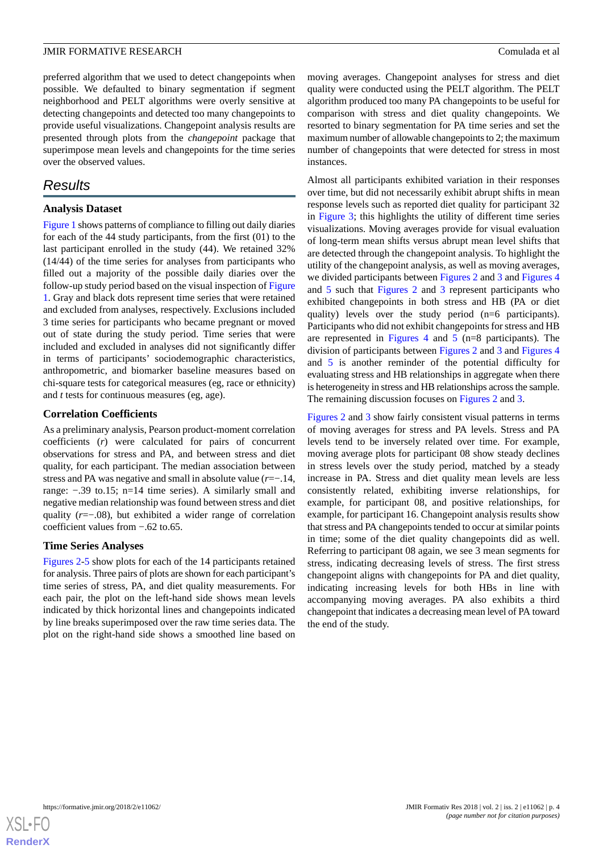preferred algorithm that we used to detect changepoints when possible. We defaulted to binary segmentation if segment neighborhood and PELT algorithms were overly sensitive at detecting changepoints and detected too many changepoints to provide useful visualizations. Changepoint analysis results are presented through plots from the *changepoint* package that superimpose mean levels and changepoints for the time series over the observed values.

## *Results*

#### **Analysis Dataset**

[Figure 1](#page-4-0) shows patterns of compliance to filling out daily diaries for each of the 44 study participants, from the first (01) to the last participant enrolled in the study (44). We retained 32% (14/44) of the time series for analyses from participants who filled out a majority of the possible daily diaries over the follow-up study period based on the visual inspection of [Figure](#page-4-0) [1.](#page-4-0) Gray and black dots represent time series that were retained and excluded from analyses, respectively. Exclusions included 3 time series for participants who became pregnant or moved out of state during the study period. Time series that were included and excluded in analyses did not significantly differ in terms of participants' sociodemographic characteristics, anthropometric, and biomarker baseline measures based on chi-square tests for categorical measures (eg, race or ethnicity) and *t* tests for continuous measures (eg, age).

#### **Correlation Coefficients**

As a preliminary analysis, Pearson product-moment correlation coefficients (*r*) were calculated for pairs of concurrent observations for stress and PA, and between stress and diet quality, for each participant. The median association between stress and PA was negative and small in absolute value (*r*=−.14, range: −.39 to.15; n=14 time series). A similarly small and negative median relationship was found between stress and diet quality (*r*=−.08), but exhibited a wider range of correlation coefficient values from −.62 to.65.

#### **Time Series Analyses**

[Figures 2](#page-5-0)-[5](#page-8-0) show plots for each of the 14 participants retained for analysis. Three pairs of plots are shown for each participant's time series of stress, PA, and diet quality measurements. For each pair, the plot on the left-hand side shows mean levels indicated by thick horizontal lines and changepoints indicated by line breaks superimposed over the raw time series data. The plot on the right-hand side shows a smoothed line based on

moving averages. Changepoint analyses for stress and diet quality were conducted using the PELT algorithm. The PELT algorithm produced too many PA changepoints to be useful for comparison with stress and diet quality changepoints. We resorted to binary segmentation for PA time series and set the maximum number of allowable changepoints to 2; the maximum number of changepoints that were detected for stress in most instances.

Almost all participants exhibited variation in their responses over time, but did not necessarily exhibit abrupt shifts in mean response levels such as reported diet quality for participant 32 in [Figure 3](#page-6-0); this highlights the utility of different time series visualizations. Moving averages provide for visual evaluation of long-term mean shifts versus abrupt mean level shifts that are detected through the changepoint analysis. To highlight the utility of the changepoint analysis, as well as moving averages, we divided participants between [Figures 2](#page-5-0) and [3](#page-6-0) and [Figures 4](#page-7-0) and [5](#page-8-0) such that [Figures 2](#page-5-0) and [3](#page-6-0) represent participants who exhibited changepoints in both stress and HB (PA or diet quality) levels over the study period (n=6 participants). Participants who did not exhibit changepoints for stress and HB are represented in [Figures 4](#page-7-0) and [5](#page-8-0) (n=8 participants). The division of participants between [Figures 2](#page-5-0) and [3](#page-6-0) and [Figures 4](#page-7-0) and [5](#page-8-0) is another reminder of the potential difficulty for evaluating stress and HB relationships in aggregate when there is heterogeneity in stress and HB relationships across the sample. The remaining discussion focuses on [Figures 2](#page-5-0) and [3.](#page-6-0)

[Figures 2](#page-5-0) and [3](#page-6-0) show fairly consistent visual patterns in terms of moving averages for stress and PA levels. Stress and PA levels tend to be inversely related over time. For example, moving average plots for participant 08 show steady declines in stress levels over the study period, matched by a steady increase in PA. Stress and diet quality mean levels are less consistently related, exhibiting inverse relationships, for example, for participant 08, and positive relationships, for example, for participant 16. Changepoint analysis results show that stress and PA changepoints tended to occur at similar points in time; some of the diet quality changepoints did as well. Referring to participant 08 again, we see 3 mean segments for stress, indicating decreasing levels of stress. The first stress changepoint aligns with changepoints for PA and diet quality, indicating increasing levels for both HBs in line with accompanying moving averages. PA also exhibits a third changepoint that indicates a decreasing mean level of PA toward the end of the study.

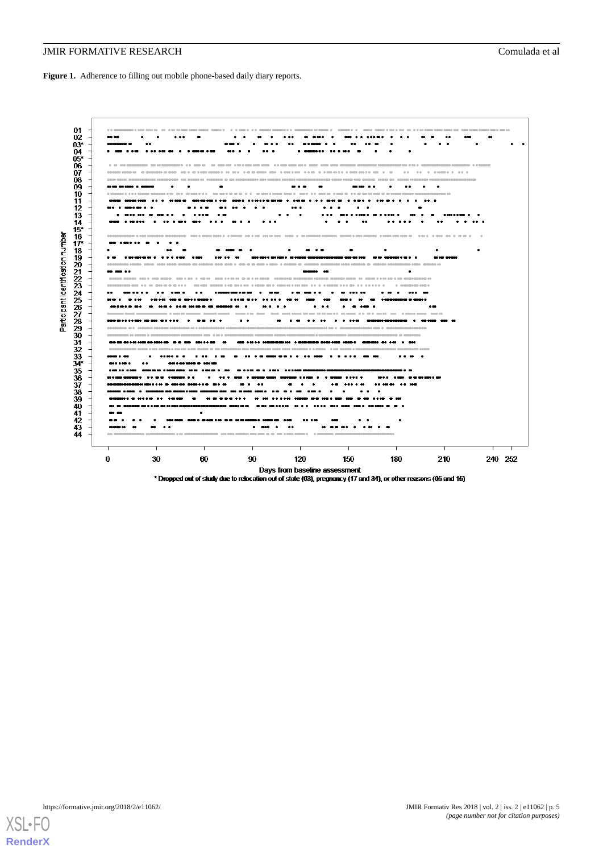<span id="page-4-0"></span>**Figure 1.** Adherence to filling out mobile phone-based daily diary reports.



\* Dropped out of study due to relocation out of state (03), pregnancy (17 and 34), or other reasons (05 and 15)

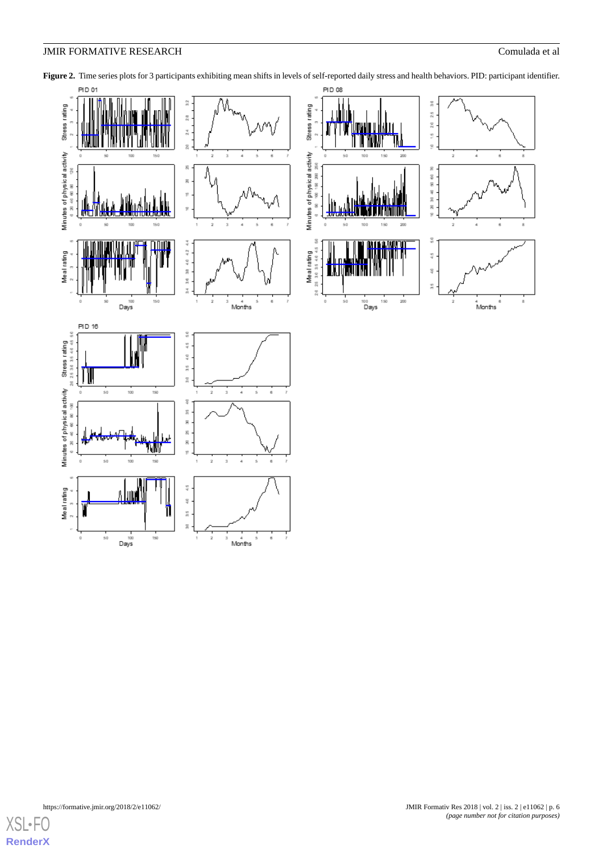

<span id="page-5-0"></span>Figure 2. Time series plots for 3 participants exhibiting mean shifts in levels of self-reported daily stress and health behaviors. PID: participant identifier.

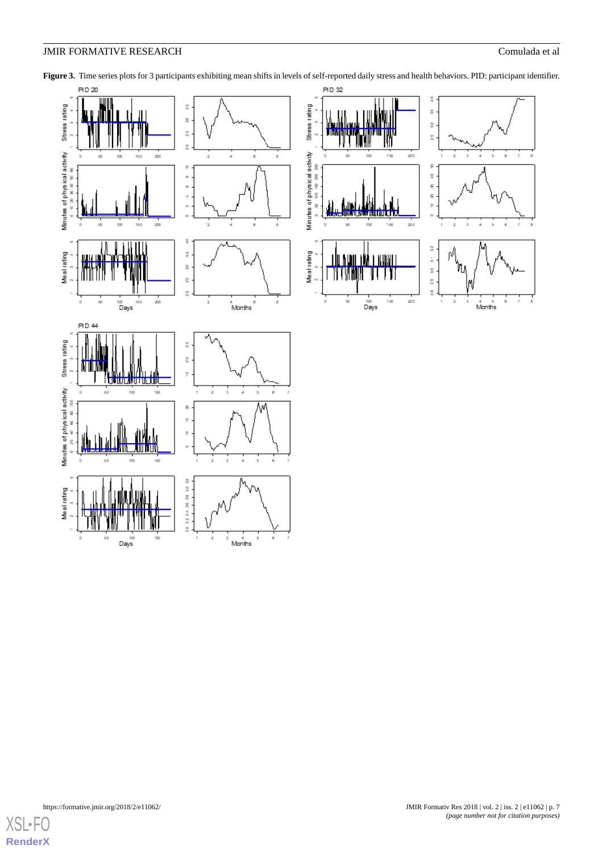

<span id="page-6-0"></span>Figure 3. Time series plots for 3 participants exhibiting mean shifts in levels of self-reported daily stress and health behaviors. PID: participant identifier.

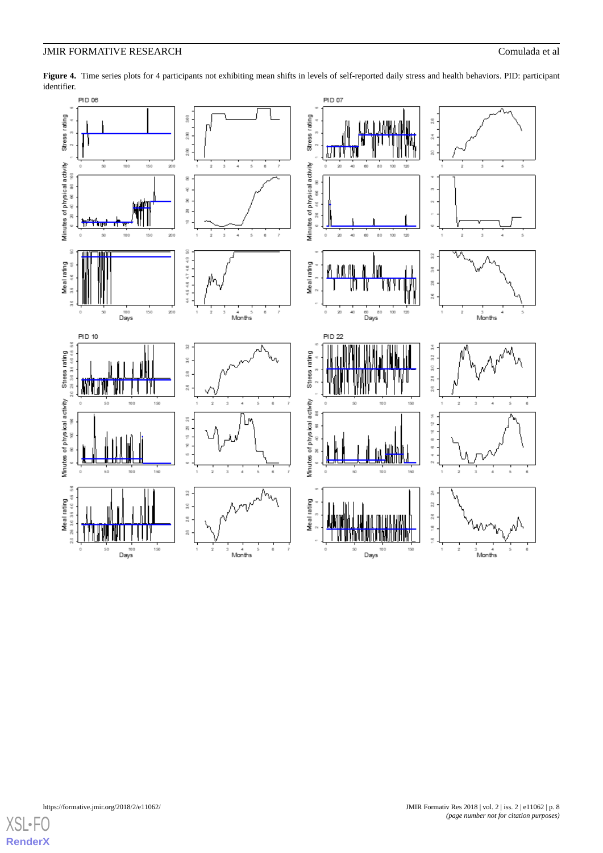

<span id="page-7-0"></span>Figure 4. Time series plots for 4 participants not exhibiting mean shifts in levels of self-reported daily stress and health behaviors. PID: participant identifier.

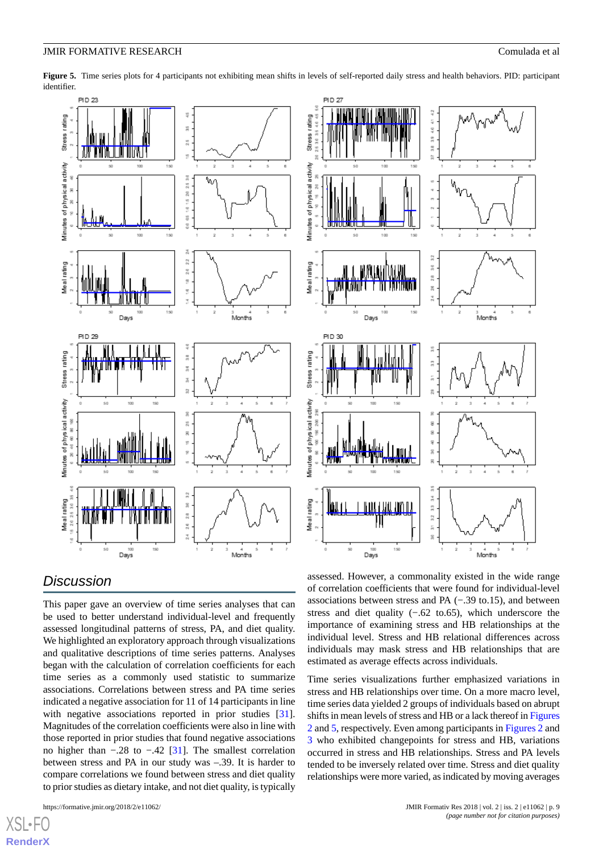

<span id="page-8-0"></span>**Figure 5.** Time series plots for 4 participants not exhibiting mean shifts in levels of self-reported daily stress and health behaviors. PID: participant identifier.

## *Discussion*

This paper gave an overview of time series analyses that can be used to better understand individual-level and frequently assessed longitudinal patterns of stress, PA, and diet quality. We highlighted an exploratory approach through visualizations and qualitative descriptions of time series patterns. Analyses began with the calculation of correlation coefficients for each time series as a commonly used statistic to summarize associations. Correlations between stress and PA time series indicated a negative association for 11 of 14 participants in line with negative associations reported in prior studies [[31\]](#page-11-4). Magnitudes of the correlation coefficients were also in line with those reported in prior studies that found negative associations no higher than −.28 to −.42 [\[31](#page-11-4)]. The smallest correlation between stress and PA in our study was –.39. It is harder to compare correlations we found between stress and diet quality to prior studies as dietary intake, and not diet quality, is typically

```
https://formative.jmir.org/2018/2/e11062/ JMIR Formativ Res 2018 | vol. 2 | iss. 2 | e11062 | p. 9
```
[XSL](http://www.w3.org/Style/XSL)•FO **[RenderX](http://www.renderx.com/)**

assessed. However, a commonality existed in the wide range of correlation coefficients that were found for individual-level associations between stress and PA (−.39 to.15), and between stress and diet quality (−.62 to.65), which underscore the importance of examining stress and HB relationships at the individual level. Stress and HB relational differences across individuals may mask stress and HB relationships that are estimated as average effects across individuals.

Time series visualizations further emphasized variations in stress and HB relationships over time. On a more macro level, time series data yielded 2 groups of individuals based on abrupt shifts in mean levels of stress and HB or a lack thereof in [Figures](#page-5-0) [2](#page-5-0) and [5](#page-8-0), respectively. Even among participants in [Figures 2](#page-5-0) and [3](#page-6-0) who exhibited changepoints for stress and HB, variations occurred in stress and HB relationships. Stress and PA levels tended to be inversely related over time. Stress and diet quality relationships were more varied, as indicated by moving averages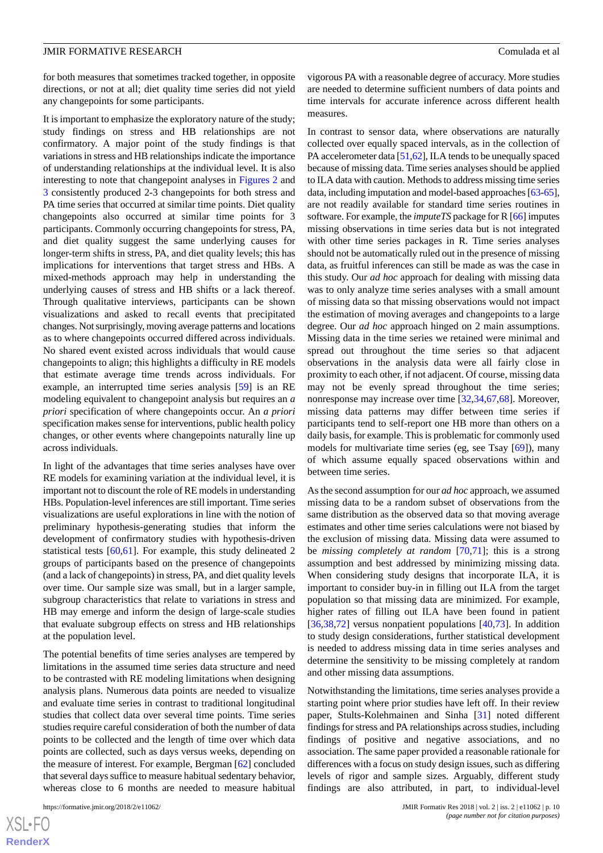for both measures that sometimes tracked together, in opposite directions, or not at all; diet quality time series did not yield any changepoints for some participants.

It is important to emphasize the exploratory nature of the study; study findings on stress and HB relationships are not confirmatory. A major point of the study findings is that variations in stress and HB relationships indicate the importance of understanding relationships at the individual level. It is also interesting to note that changepoint analyses in [Figures 2](#page-5-0) and [3](#page-6-0) consistently produced 2-3 changepoints for both stress and PA time series that occurred at similar time points. Diet quality changepoints also occurred at similar time points for 3 participants. Commonly occurring changepoints for stress, PA, and diet quality suggest the same underlying causes for longer-term shifts in stress, PA, and diet quality levels; this has implications for interventions that target stress and HBs. A mixed-methods approach may help in understanding the underlying causes of stress and HB shifts or a lack thereof. Through qualitative interviews, participants can be shown visualizations and asked to recall events that precipitated changes. Not surprisingly, moving average patterns and locations as to where changepoints occurred differed across individuals. No shared event existed across individuals that would cause changepoints to align; this highlights a difficulty in RE models that estimate average time trends across individuals. For example, an interrupted time series analysis [[59\]](#page-12-17) is an RE modeling equivalent to changepoint analysis but requires an *a priori* specification of where changepoints occur. An *a priori* specification makes sense for interventions, public health policy changes, or other events where changepoints naturally line up across individuals.

In light of the advantages that time series analyses have over RE models for examining variation at the individual level, it is important not to discount the role of RE models in understanding HBs. Population-level inferences are still important. Time series visualizations are useful explorations in line with the notion of preliminary hypothesis-generating studies that inform the development of confirmatory studies with hypothesis-driven statistical tests [[60](#page-12-18)[,61](#page-12-19)]. For example, this study delineated 2 groups of participants based on the presence of changepoints (and a lack of changepoints) in stress, PA, and diet quality levels over time. Our sample size was small, but in a larger sample, subgroup characteristics that relate to variations in stress and HB may emerge and inform the design of large-scale studies that evaluate subgroup effects on stress and HB relationships at the population level.

The potential benefits of time series analyses are tempered by limitations in the assumed time series data structure and need to be contrasted with RE modeling limitations when designing analysis plans. Numerous data points are needed to visualize and evaluate time series in contrast to traditional longitudinal studies that collect data over several time points. Time series studies require careful consideration of both the number of data points to be collected and the length of time over which data points are collected, such as days versus weeks, depending on the measure of interest. For example, Bergman [[62\]](#page-12-20) concluded that several days suffice to measure habitual sedentary behavior, whereas close to 6 months are needed to measure habitual

vigorous PA with a reasonable degree of accuracy. More studies are needed to determine sufficient numbers of data points and time intervals for accurate inference across different health measures.

In contrast to sensor data, where observations are naturally collected over equally spaced intervals, as in the collection of PA accelerometer data [\[51](#page-12-9)[,62](#page-12-20)], ILA tends to be unequally spaced because of missing data. Time series analyses should be applied to ILA data with caution. Methods to address missing time series data, including imputation and model-based approaches [\[63](#page-12-21)[-65](#page-12-22)], are not readily available for standard time series routines in software. For example, the *imputeTS* package for R [[66](#page-12-23)] imputes missing observations in time series data but is not integrated with other time series packages in R. Time series analyses should not be automatically ruled out in the presence of missing data, as fruitful inferences can still be made as was the case in this study. Our *ad hoc* approach for dealing with missing data was to only analyze time series analyses with a small amount of missing data so that missing observations would not impact the estimation of moving averages and changepoints to a large degree. Our *ad hoc* approach hinged on 2 main assumptions. Missing data in the time series we retained were minimal and spread out throughout the time series so that adjacent observations in the analysis data were all fairly close in proximity to each other, if not adjacent. Of course, missing data may not be evenly spread throughout the time series; nonresponse may increase over time [[32,](#page-11-5)[34](#page-11-11)[,67](#page-12-24)[,68](#page-12-25)]. Moreover, missing data patterns may differ between time series if participants tend to self-report one HB more than others on a daily basis, for example. This is problematic for commonly used models for multivariate time series (eg, see Tsay [\[69](#page-12-26)]), many of which assume equally spaced observations within and between time series.

As the second assumption for our *ad hoc* approach, we assumed missing data to be a random subset of observations from the same distribution as the observed data so that moving average estimates and other time series calculations were not biased by the exclusion of missing data. Missing data were assumed to be *missing completely at random* [[70](#page-13-0)[,71](#page-13-1)]; this is a strong assumption and best addressed by minimizing missing data. When considering study designs that incorporate ILA, it is important to consider buy-in in filling out ILA from the target population so that missing data are minimized. For example, higher rates of filling out ILA have been found in patient [[36,](#page-11-7)[38,](#page-11-8)[72\]](#page-13-2) versus nonpatient populations [\[40](#page-11-12)[,73](#page-13-3)]. In addition to study design considerations, further statistical development is needed to address missing data in time series analyses and determine the sensitivity to be missing completely at random and other missing data assumptions.

Notwithstanding the limitations, time series analyses provide a starting point where prior studies have left off. In their review paper, Stults-Kolehmainen and Sinha [\[31](#page-11-4)] noted different findings for stress and PA relationships across studies, including findings of positive and negative associations, and no association. The same paper provided a reasonable rationale for differences with a focus on study design issues, such as differing levels of rigor and sample sizes. Arguably, different study findings are also attributed, in part, to individual-level

```
XSL•FO
RenderX
```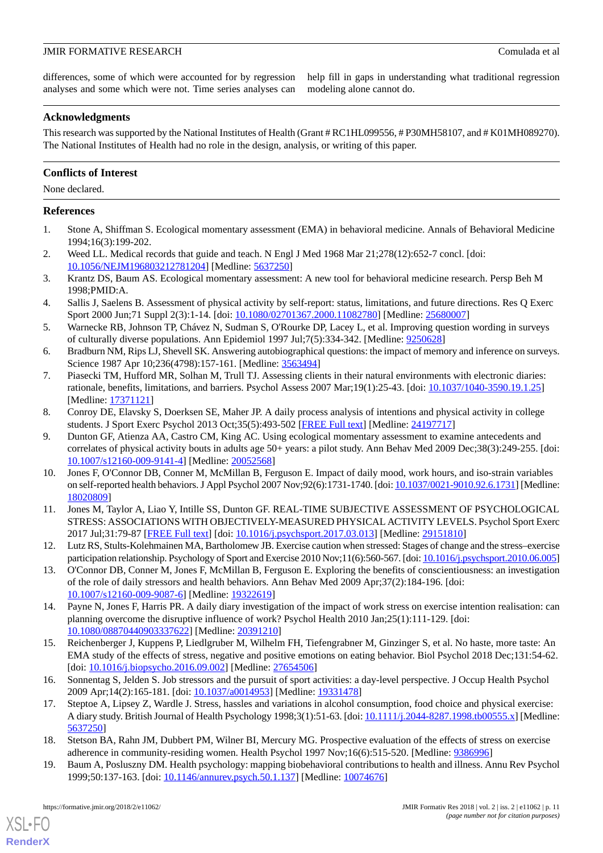differences, some of which were accounted for by regression analyses and some which were not. Time series analyses can

help fill in gaps in understanding what traditional regression modeling alone cannot do.

#### **Acknowledgments**

This research was supported by the National Institutes of Health (Grant # RC1HL099556, # P30MH58107, and # K01MH089270). The National Institutes of Health had no role in the design, analysis, or writing of this paper.

#### **Conflicts of Interest**

None declared.

#### <span id="page-10-0"></span>**References**

- 1. Stone A, Shiffman S. Ecological momentary assessment (EMA) in behavioral medicine. Annals of Behavioral Medicine 1994;16(3):199-202.
- <span id="page-10-1"></span>2. Weed LL. Medical records that guide and teach. N Engl J Med 1968 Mar 21;278(12):652-7 concl. [doi: [10.1056/NEJM196803212781204\]](http://dx.doi.org/10.1056/NEJM196803212781204) [Medline: [5637250\]](http://www.ncbi.nlm.nih.gov/entrez/query.fcgi?cmd=Retrieve&db=PubMed&list_uids=5637250&dopt=Abstract)
- <span id="page-10-2"></span>3. Krantz DS, Baum AS. Ecological momentary assessment: A new tool for behavioral medicine research. Persp Beh M 1998;PMID:A.
- <span id="page-10-3"></span>4. Sallis J, Saelens B. Assessment of physical activity by self-report: status, limitations, and future directions. Res Q Exerc Sport 2000 Jun;71 Suppl 2(3):1-14. [doi: [10.1080/02701367.2000.11082780\]](http://dx.doi.org/10.1080/02701367.2000.11082780) [Medline: [25680007](http://www.ncbi.nlm.nih.gov/entrez/query.fcgi?cmd=Retrieve&db=PubMed&list_uids=25680007&dopt=Abstract)]
- <span id="page-10-5"></span><span id="page-10-4"></span>5. Warnecke RB, Johnson TP, Chávez N, Sudman S, O'Rourke DP, Lacey L, et al. Improving question wording in surveys of culturally diverse populations. Ann Epidemiol 1997 Jul;7(5):334-342. [Medline: [9250628](http://www.ncbi.nlm.nih.gov/entrez/query.fcgi?cmd=Retrieve&db=PubMed&list_uids=9250628&dopt=Abstract)]
- 6. Bradburn NM, Rips LJ, Shevell SK. Answering autobiographical questions: the impact of memory and inference on surveys. Science 1987 Apr 10;236(4798):157-161. [Medline: [3563494](http://www.ncbi.nlm.nih.gov/entrez/query.fcgi?cmd=Retrieve&db=PubMed&list_uids=3563494&dopt=Abstract)]
- <span id="page-10-6"></span>7. Piasecki TM, Hufford MR, Solhan M, Trull TJ. Assessing clients in their natural environments with electronic diaries: rationale, benefits, limitations, and barriers. Psychol Assess 2007 Mar;19(1):25-43. [doi: [10.1037/1040-3590.19.1.25](http://dx.doi.org/10.1037/1040-3590.19.1.25)] [Medline: [17371121](http://www.ncbi.nlm.nih.gov/entrez/query.fcgi?cmd=Retrieve&db=PubMed&list_uids=17371121&dopt=Abstract)]
- 8. Conroy DE, Elavsky S, Doerksen SE, Maher JP. A daily process analysis of intentions and physical activity in college students. J Sport Exerc Psychol 2013 Oct;35(5):493-502 [\[FREE Full text](http://europepmc.org/abstract/MED/24197717)] [Medline: [24197717](http://www.ncbi.nlm.nih.gov/entrez/query.fcgi?cmd=Retrieve&db=PubMed&list_uids=24197717&dopt=Abstract)]
- 9. Dunton GF, Atienza AA, Castro CM, King AC. Using ecological momentary assessment to examine antecedents and correlates of physical activity bouts in adults age 50+ years: a pilot study. Ann Behav Med 2009 Dec;38(3):249-255. [doi: [10.1007/s12160-009-9141-4\]](http://dx.doi.org/10.1007/s12160-009-9141-4) [Medline: [20052568](http://www.ncbi.nlm.nih.gov/entrez/query.fcgi?cmd=Retrieve&db=PubMed&list_uids=20052568&dopt=Abstract)]
- 10. Jones F, O'Connor DB, Conner M, McMillan B, Ferguson E. Impact of daily mood, work hours, and iso-strain variables on self-reported health behaviors. J Appl Psychol 2007 Nov;92(6):1731-1740. [doi: [10.1037/0021-9010.92.6.1731](http://dx.doi.org/10.1037/0021-9010.92.6.1731)] [Medline: [18020809](http://www.ncbi.nlm.nih.gov/entrez/query.fcgi?cmd=Retrieve&db=PubMed&list_uids=18020809&dopt=Abstract)]
- 11. Jones M, Taylor A, Liao Y, Intille SS, Dunton GF. REAL-TIME SUBJECTIVE ASSESSMENT OF PSYCHOLOGICAL STRESS: ASSOCIATIONS WITH OBJECTIVELY-MEASURED PHYSICAL ACTIVITY LEVELS. Psychol Sport Exerc 2017 Jul;31:79-87 [\[FREE Full text\]](http://europepmc.org/abstract/MED/29151810) [doi: [10.1016/j.psychsport.2017.03.013](http://dx.doi.org/10.1016/j.psychsport.2017.03.013)] [Medline: [29151810](http://www.ncbi.nlm.nih.gov/entrez/query.fcgi?cmd=Retrieve&db=PubMed&list_uids=29151810&dopt=Abstract)]
- <span id="page-10-9"></span>12. Lutz RS, Stults-Kolehmainen MA, Bartholomew JB. Exercise caution when stressed: Stages of change and the stress–exercise participation relationship. Psychology of Sport and Exercise 2010 Nov;11(6):560-567. [doi: [10.1016/j.psychsport.2010.06.005](http://dx.doi.org/10.1016/j.psychsport.2010.06.005)]
- 13. O'Connor DB, Conner M, Jones F, McMillan B, Ferguson E. Exploring the benefits of conscientiousness: an investigation of the role of daily stressors and health behaviors. Ann Behav Med 2009 Apr;37(2):184-196. [doi: [10.1007/s12160-009-9087-6\]](http://dx.doi.org/10.1007/s12160-009-9087-6) [Medline: [19322619](http://www.ncbi.nlm.nih.gov/entrez/query.fcgi?cmd=Retrieve&db=PubMed&list_uids=19322619&dopt=Abstract)]
- 14. Payne N, Jones F, Harris PR. A daily diary investigation of the impact of work stress on exercise intention realisation: can planning overcome the disruptive influence of work? Psychol Health 2010 Jan;25(1):111-129. [doi: [10.1080/08870440903337622\]](http://dx.doi.org/10.1080/08870440903337622) [Medline: [20391210\]](http://www.ncbi.nlm.nih.gov/entrez/query.fcgi?cmd=Retrieve&db=PubMed&list_uids=20391210&dopt=Abstract)
- 15. Reichenberger J, Kuppens P, Liedlgruber M, Wilhelm FH, Tiefengrabner M, Ginzinger S, et al. No haste, more taste: An EMA study of the effects of stress, negative and positive emotions on eating behavior. Biol Psychol 2018 Dec;131:54-62. [doi: [10.1016/j.biopsycho.2016.09.002](http://dx.doi.org/10.1016/j.biopsycho.2016.09.002)] [Medline: [27654506\]](http://www.ncbi.nlm.nih.gov/entrez/query.fcgi?cmd=Retrieve&db=PubMed&list_uids=27654506&dopt=Abstract)
- <span id="page-10-8"></span><span id="page-10-7"></span>16. Sonnentag S, Jelden S. Job stressors and the pursuit of sport activities: a day-level perspective. J Occup Health Psychol 2009 Apr;14(2):165-181. [doi: [10.1037/a0014953](http://dx.doi.org/10.1037/a0014953)] [Medline: [19331478](http://www.ncbi.nlm.nih.gov/entrez/query.fcgi?cmd=Retrieve&db=PubMed&list_uids=19331478&dopt=Abstract)]
- 17. Steptoe A, Lipsey Z, Wardle J. Stress, hassles and variations in alcohol consumption, food choice and physical exercise: A diary study. British Journal of Health Psychology 1998;3(1):51-63. [doi: [10.1111/j.2044-8287.1998.tb00555.x](http://dx.doi.org/10.1111/j.2044-8287.1998.tb00555.x)] [Medline: [5637250\]](http://www.ncbi.nlm.nih.gov/entrez/query.fcgi?cmd=Retrieve&db=PubMed&list_uids=5637250&dopt=Abstract)
- 18. Stetson BA, Rahn JM, Dubbert PM, Wilner BI, Mercury MG. Prospective evaluation of the effects of stress on exercise adherence in community-residing women. Health Psychol 1997 Nov;16(6):515-520. [Medline: [9386996](http://www.ncbi.nlm.nih.gov/entrez/query.fcgi?cmd=Retrieve&db=PubMed&list_uids=9386996&dopt=Abstract)]
- 19. Baum A, Posluszny DM. Health psychology: mapping biobehavioral contributions to health and illness. Annu Rev Psychol 1999;50:137-163. [doi: [10.1146/annurev.psych.50.1.137\]](http://dx.doi.org/10.1146/annurev.psych.50.1.137) [Medline: [10074676\]](http://www.ncbi.nlm.nih.gov/entrez/query.fcgi?cmd=Retrieve&db=PubMed&list_uids=10074676&dopt=Abstract)

[XSL](http://www.w3.org/Style/XSL)•FO **[RenderX](http://www.renderx.com/)**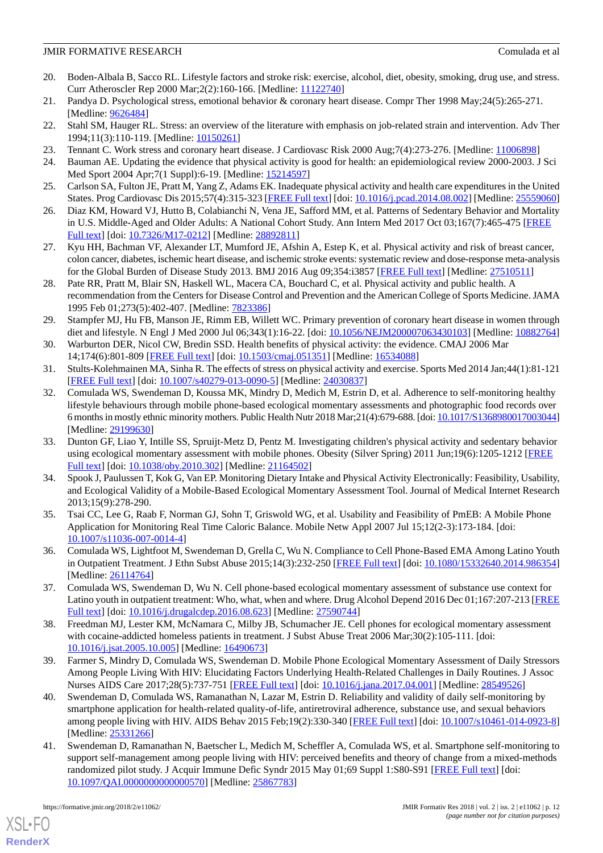- <span id="page-11-1"></span>20. Boden-Albala B, Sacco RL. Lifestyle factors and stroke risk: exercise, alcohol, diet, obesity, smoking, drug use, and stress. Curr Atheroscler Rep 2000 Mar;2(2):160-166. [Medline: [11122740\]](http://www.ncbi.nlm.nih.gov/entrez/query.fcgi?cmd=Retrieve&db=PubMed&list_uids=11122740&dopt=Abstract)
- 21. Pandya D. Psychological stress, emotional behavior & coronary heart disease. Compr Ther 1998 May;24(5):265-271. [Medline: [9626484\]](http://www.ncbi.nlm.nih.gov/entrez/query.fcgi?cmd=Retrieve&db=PubMed&list_uids=9626484&dopt=Abstract)
- <span id="page-11-0"></span>22. Stahl SM, Hauger RL. Stress: an overview of the literature with emphasis on job-related strain and intervention. Adv Ther 1994;11(3):110-119. [Medline: [10150261](http://www.ncbi.nlm.nih.gov/entrez/query.fcgi?cmd=Retrieve&db=PubMed&list_uids=10150261&dopt=Abstract)]
- <span id="page-11-2"></span>23. Tennant C. Work stress and coronary heart disease. J Cardiovasc Risk 2000 Aug;7(4):273-276. [Medline: [11006898\]](http://www.ncbi.nlm.nih.gov/entrez/query.fcgi?cmd=Retrieve&db=PubMed&list_uids=11006898&dopt=Abstract)
- 24. Bauman AE. Updating the evidence that physical activity is good for health: an epidemiological review 2000-2003. J Sci Med Sport 2004 Apr;7(1 Suppl):6-19. [Medline: [15214597\]](http://www.ncbi.nlm.nih.gov/entrez/query.fcgi?cmd=Retrieve&db=PubMed&list_uids=15214597&dopt=Abstract)
- 25. Carlson SA, Fulton JE, Pratt M, Yang Z, Adams EK. Inadequate physical activity and health care expenditures in the United States. Prog Cardiovasc Dis 2015;57(4):315-323 [[FREE Full text](http://europepmc.org/abstract/MED/25559060)] [doi: [10.1016/j.pcad.2014.08.002](http://dx.doi.org/10.1016/j.pcad.2014.08.002)] [Medline: [25559060](http://www.ncbi.nlm.nih.gov/entrez/query.fcgi?cmd=Retrieve&db=PubMed&list_uids=25559060&dopt=Abstract)]
- 26. Diaz KM, Howard VJ, Hutto B, Colabianchi N, Vena JE, Safford MM, et al. Patterns of Sedentary Behavior and Mortality in U.S. Middle-Aged and Older Adults: A National Cohort Study. Ann Intern Med 2017 Oct 03;167(7):465-475 [[FREE](http://europepmc.org/abstract/MED/28892811) [Full text\]](http://europepmc.org/abstract/MED/28892811) [doi: [10.7326/M17-0212\]](http://dx.doi.org/10.7326/M17-0212) [Medline: [28892811](http://www.ncbi.nlm.nih.gov/entrez/query.fcgi?cmd=Retrieve&db=PubMed&list_uids=28892811&dopt=Abstract)]
- 27. Kyu HH, Bachman VF, Alexander LT, Mumford JE, Afshin A, Estep K, et al. Physical activity and risk of breast cancer, colon cancer, diabetes, ischemic heart disease, and ischemic stroke events: systematic review and dose-response meta-analysis for the Global Burden of Disease Study 2013. BMJ 2016 Aug 09;354:i3857 [[FREE Full text](http://www.bmj.com/cgi/pmidlookup?view=long&pmid=27510511)] [Medline: [27510511\]](http://www.ncbi.nlm.nih.gov/entrez/query.fcgi?cmd=Retrieve&db=PubMed&list_uids=27510511&dopt=Abstract)
- 28. Pate RR, Pratt M, Blair SN, Haskell WL, Macera CA, Bouchard C, et al. Physical activity and public health. A recommendation from the Centers for Disease Control and Prevention and the American College of Sports Medicine. JAMA 1995 Feb 01;273(5):402-407. [Medline: [7823386](http://www.ncbi.nlm.nih.gov/entrez/query.fcgi?cmd=Retrieve&db=PubMed&list_uids=7823386&dopt=Abstract)]
- <span id="page-11-3"></span>29. Stampfer MJ, Hu FB, Manson JE, Rimm EB, Willett WC. Primary prevention of coronary heart disease in women through diet and lifestyle. N Engl J Med 2000 Jul 06;343(1):16-22. [doi: [10.1056/NEJM200007063430103\]](http://dx.doi.org/10.1056/NEJM200007063430103) [Medline: [10882764](http://www.ncbi.nlm.nih.gov/entrez/query.fcgi?cmd=Retrieve&db=PubMed&list_uids=10882764&dopt=Abstract)]
- <span id="page-11-5"></span><span id="page-11-4"></span>30. Warburton DER, Nicol CW, Bredin SSD. Health benefits of physical activity: the evidence. CMAJ 2006 Mar 14;174(6):801-809 [[FREE Full text](http://www.cmaj.ca/cgi/pmidlookup?view=long&pmid=16534088)] [doi: [10.1503/cmaj.051351\]](http://dx.doi.org/10.1503/cmaj.051351) [Medline: [16534088](http://www.ncbi.nlm.nih.gov/entrez/query.fcgi?cmd=Retrieve&db=PubMed&list_uids=16534088&dopt=Abstract)]
- 31. Stults-Kolehmainen MA, Sinha R. The effects of stress on physical activity and exercise. Sports Med 2014 Jan;44(1):81-121 [[FREE Full text](http://europepmc.org/abstract/MED/24030837)] [doi: [10.1007/s40279-013-0090-5\]](http://dx.doi.org/10.1007/s40279-013-0090-5) [Medline: [24030837](http://www.ncbi.nlm.nih.gov/entrez/query.fcgi?cmd=Retrieve&db=PubMed&list_uids=24030837&dopt=Abstract)]
- 32. Comulada WS, Swendeman D, Koussa MK, Mindry D, Medich M, Estrin D, et al. Adherence to self-monitoring healthy lifestyle behaviours through mobile phone-based ecological momentary assessments and photographic food records over 6 months in mostly ethnic minority mothers. Public Health Nutr 2018 Mar;21(4):679-688. [doi: [10.1017/S1368980017003044\]](http://dx.doi.org/10.1017/S1368980017003044) [Medline: [29199630](http://www.ncbi.nlm.nih.gov/entrez/query.fcgi?cmd=Retrieve&db=PubMed&list_uids=29199630&dopt=Abstract)]
- <span id="page-11-11"></span>33. Dunton GF, Liao Y, Intille SS, Spruijt-Metz D, Pentz M. Investigating children's physical activity and sedentary behavior using ecological momentary assessment with mobile phones. Obesity (Silver Spring) 2011 Jun;19(6):1205-1212 [[FREE](https://doi.org/10.1038/oby.2010.302) [Full text\]](https://doi.org/10.1038/oby.2010.302) [doi: [10.1038/oby.2010.302\]](http://dx.doi.org/10.1038/oby.2010.302) [Medline: [21164502\]](http://www.ncbi.nlm.nih.gov/entrez/query.fcgi?cmd=Retrieve&db=PubMed&list_uids=21164502&dopt=Abstract)
- <span id="page-11-7"></span><span id="page-11-6"></span>34. Spook J, Paulussen T, Kok G, Van EP. Monitoring Dietary Intake and Physical Activity Electronically: Feasibility, Usability, and Ecological Validity of a Mobile-Based Ecological Momentary Assessment Tool. Journal of Medical Internet Research 2013;15(9):278-290.
- 35. Tsai CC, Lee G, Raab F, Norman GJ, Sohn T, Griswold WG, et al. Usability and Feasibility of PmEB: A Mobile Phone Application for Monitoring Real Time Caloric Balance. Mobile Netw Appl 2007 Jul 15;12(2-3):173-184. [doi: [10.1007/s11036-007-0014-4\]](http://dx.doi.org/10.1007/s11036-007-0014-4)
- <span id="page-11-8"></span>36. Comulada WS, Lightfoot M, Swendeman D, Grella C, Wu N. Compliance to Cell Phone-Based EMA Among Latino Youth in Outpatient Treatment. J Ethn Subst Abuse 2015;14(3):232-250 [\[FREE Full text](http://europepmc.org/abstract/MED/26114764)] [doi: [10.1080/15332640.2014.986354](http://dx.doi.org/10.1080/15332640.2014.986354)] [Medline: [26114764](http://www.ncbi.nlm.nih.gov/entrez/query.fcgi?cmd=Retrieve&db=PubMed&list_uids=26114764&dopt=Abstract)]
- <span id="page-11-9"></span>37. Comulada WS, Swendeman D, Wu N. Cell phone-based ecological momentary assessment of substance use context for Latino youth in outpatient treatment: Who, what, when and where. Drug Alcohol Depend 2016 Dec 01;167:207-213 [\[FREE](http://europepmc.org/abstract/MED/27590744) [Full text\]](http://europepmc.org/abstract/MED/27590744) [doi: [10.1016/j.drugalcdep.2016.08.623\]](http://dx.doi.org/10.1016/j.drugalcdep.2016.08.623) [Medline: [27590744](http://www.ncbi.nlm.nih.gov/entrez/query.fcgi?cmd=Retrieve&db=PubMed&list_uids=27590744&dopt=Abstract)]
- <span id="page-11-12"></span>38. Freedman MJ, Lester KM, McNamara C, Milby JB, Schumacher JE. Cell phones for ecological momentary assessment with cocaine-addicted homeless patients in treatment. J Subst Abuse Treat 2006 Mar;30(2):105-111. [doi: [10.1016/j.jsat.2005.10.005\]](http://dx.doi.org/10.1016/j.jsat.2005.10.005) [Medline: [16490673](http://www.ncbi.nlm.nih.gov/entrez/query.fcgi?cmd=Retrieve&db=PubMed&list_uids=16490673&dopt=Abstract)]
- <span id="page-11-10"></span>39. Farmer S, Mindry D, Comulada WS, Swendeman D. Mobile Phone Ecological Momentary Assessment of Daily Stressors Among People Living With HIV: Elucidating Factors Underlying Health-Related Challenges in Daily Routines. J Assoc Nurses AIDS Care 2017;28(5):737-751 [\[FREE Full text\]](http://europepmc.org/abstract/MED/28549526) [doi: [10.1016/j.jana.2017.04.001\]](http://dx.doi.org/10.1016/j.jana.2017.04.001) [Medline: [28549526\]](http://www.ncbi.nlm.nih.gov/entrez/query.fcgi?cmd=Retrieve&db=PubMed&list_uids=28549526&dopt=Abstract)
- 40. Swendeman D, Comulada WS, Ramanathan N, Lazar M, Estrin D. Reliability and validity of daily self-monitoring by smartphone application for health-related quality-of-life, antiretroviral adherence, substance use, and sexual behaviors among people living with HIV. AIDS Behav 2015 Feb;19(2):330-340 [\[FREE Full text](http://europepmc.org/abstract/MED/25331266)] [doi: [10.1007/s10461-014-0923-8](http://dx.doi.org/10.1007/s10461-014-0923-8)] [Medline: [25331266](http://www.ncbi.nlm.nih.gov/entrez/query.fcgi?cmd=Retrieve&db=PubMed&list_uids=25331266&dopt=Abstract)]
- 41. Swendeman D, Ramanathan N, Baetscher L, Medich M, Scheffler A, Comulada WS, et al. Smartphone self-monitoring to support self-management among people living with HIV: perceived benefits and theory of change from a mixed-methods randomized pilot study. J Acquir Immune Defic Syndr 2015 May 01;69 Suppl 1:S80-S91 [[FREE Full text](http://europepmc.org/abstract/MED/25867783)] [doi: [10.1097/QAI.0000000000000570](http://dx.doi.org/10.1097/QAI.0000000000000570)] [Medline: [25867783\]](http://www.ncbi.nlm.nih.gov/entrez/query.fcgi?cmd=Retrieve&db=PubMed&list_uids=25867783&dopt=Abstract)

[XSL](http://www.w3.org/Style/XSL)•FO **[RenderX](http://www.renderx.com/)**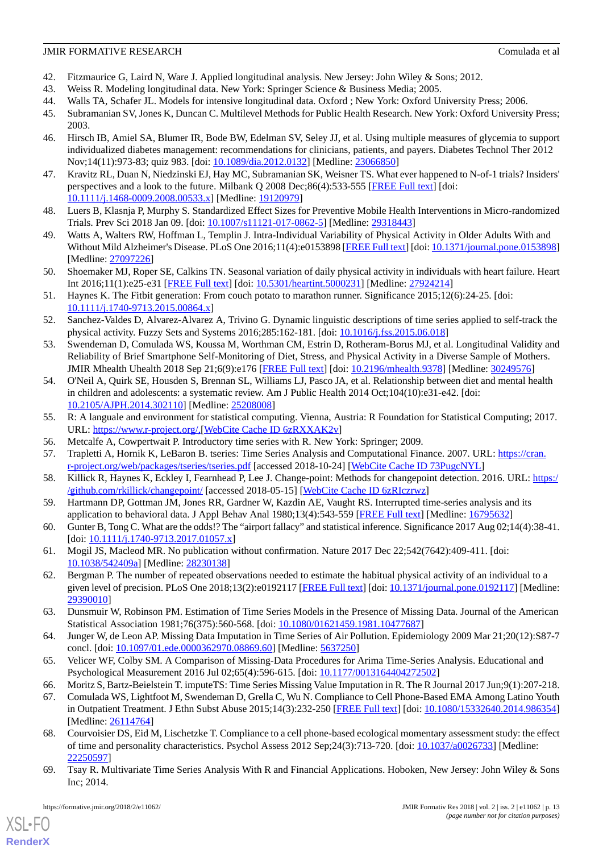- <span id="page-12-1"></span><span id="page-12-0"></span>42. Fitzmaurice G, Laird N, Ware J. Applied longitudinal analysis. New Jersey: John Wiley & Sons; 2012.
- <span id="page-12-2"></span>43. Weiss R. Modeling longitudinal data. New York: Springer Science & Business Media; 2005.
- <span id="page-12-3"></span>44. Walls TA, Schafer JL. Models for intensive longitudinal data. Oxford ; New York: Oxford University Press; 2006.
- <span id="page-12-4"></span>45. Subramanian SV, Jones K, Duncan C. Multilevel Methods for Public Health Research. New York: Oxford University Press; 2003.
- 46. Hirsch IB, Amiel SA, Blumer IR, Bode BW, Edelman SV, Seley JJ, et al. Using multiple measures of glycemia to support individualized diabetes management: recommendations for clinicians, patients, and payers. Diabetes Technol Ther 2012 Nov;14(11):973-83; quiz 983. [doi: [10.1089/dia.2012.0132](http://dx.doi.org/10.1089/dia.2012.0132)] [Medline: [23066850\]](http://www.ncbi.nlm.nih.gov/entrez/query.fcgi?cmd=Retrieve&db=PubMed&list_uids=23066850&dopt=Abstract)
- <span id="page-12-6"></span><span id="page-12-5"></span>47. Kravitz RL, Duan N, Niedzinski EJ, Hay MC, Subramanian SK, Weisner TS. What ever happened to N-of-1 trials? Insiders' perspectives and a look to the future. Milbank Q 2008 Dec;86(4):533-555 [\[FREE Full text\]](http://europepmc.org/abstract/MED/19120979) [doi: [10.1111/j.1468-0009.2008.00533.x\]](http://dx.doi.org/10.1111/j.1468-0009.2008.00533.x) [Medline: [19120979\]](http://www.ncbi.nlm.nih.gov/entrez/query.fcgi?cmd=Retrieve&db=PubMed&list_uids=19120979&dopt=Abstract)
- <span id="page-12-7"></span>48. Luers B, Klasnja P, Murphy S. Standardized Effect Sizes for Preventive Mobile Health Interventions in Micro-randomized Trials. Prev Sci 2018 Jan 09. [doi: [10.1007/s11121-017-0862-5](http://dx.doi.org/10.1007/s11121-017-0862-5)] [Medline: [29318443](http://www.ncbi.nlm.nih.gov/entrez/query.fcgi?cmd=Retrieve&db=PubMed&list_uids=29318443&dopt=Abstract)]
- <span id="page-12-8"></span>49. Watts A, Walters RW, Hoffman L, Templin J. Intra-Individual Variability of Physical Activity in Older Adults With and Without Mild Alzheimer's Disease. PLoS One 2016;11(4):e0153898 [[FREE Full text](http://dx.plos.org/10.1371/journal.pone.0153898)] [doi: [10.1371/journal.pone.0153898](http://dx.doi.org/10.1371/journal.pone.0153898)] [Medline: [27097226](http://www.ncbi.nlm.nih.gov/entrez/query.fcgi?cmd=Retrieve&db=PubMed&list_uids=27097226&dopt=Abstract)]
- <span id="page-12-9"></span>50. Shoemaker MJ, Roper SE, Calkins TN. Seasonal variation of daily physical activity in individuals with heart failure. Heart Int 2016;11(1):e25-e31 [\[FREE Full text\]](http://europepmc.org/abstract/MED/27924214) [doi: [10.5301/heartint.5000231](http://dx.doi.org/10.5301/heartint.5000231)] [Medline: [27924214](http://www.ncbi.nlm.nih.gov/entrez/query.fcgi?cmd=Retrieve&db=PubMed&list_uids=27924214&dopt=Abstract)]
- <span id="page-12-10"></span>51. Haynes K. The Fitbit generation: From couch potato to marathon runner. Significance 2015;12(6):24-25. [doi: [10.1111/j.1740-9713.2015.00864.x\]](http://dx.doi.org/10.1111/j.1740-9713.2015.00864.x)
- <span id="page-12-11"></span>52. Sanchez-Valdes D, Alvarez-Alvarez A, Trivino G. Dynamic linguistic descriptions of time series applied to self-track the physical activity. Fuzzy Sets and Systems 2016;285:162-181. [doi: [10.1016/j.fss.2015.06.018\]](http://dx.doi.org/10.1016/j.fss.2015.06.018)
- <span id="page-12-12"></span>53. Swendeman D, Comulada WS, Koussa M, Worthman CM, Estrin D, Rotheram-Borus MJ, et al. Longitudinal Validity and Reliability of Brief Smartphone Self-Monitoring of Diet, Stress, and Physical Activity in a Diverse Sample of Mothers. JMIR Mhealth Uhealth 2018 Sep 21;6(9):e176 [\[FREE Full text\]](http://mhealth.jmir.org/2018/9/e176/) [doi: [10.2196/mhealth.9378\]](http://dx.doi.org/10.2196/mhealth.9378) [Medline: [30249576\]](http://www.ncbi.nlm.nih.gov/entrez/query.fcgi?cmd=Retrieve&db=PubMed&list_uids=30249576&dopt=Abstract)
- <span id="page-12-13"></span>54. O'Neil A, Quirk SE, Housden S, Brennan SL, Williams LJ, Pasco JA, et al. Relationship between diet and mental health in children and adolescents: a systematic review. Am J Public Health 2014 Oct;104(10):e31-e42. [doi: [10.2105/AJPH.2014.302110\]](http://dx.doi.org/10.2105/AJPH.2014.302110) [Medline: [25208008](http://www.ncbi.nlm.nih.gov/entrez/query.fcgi?cmd=Retrieve&db=PubMed&list_uids=25208008&dopt=Abstract)]
- <span id="page-12-15"></span><span id="page-12-14"></span>55. R: A languale and environment for statistical computing. Vienna, Austria: R Foundation for Statistical Computing; 2017. URL: <https://www.r-project.org/,>[[WebCite Cache ID 6zRXXAK2v](http://www.webcitation.org/

                                            6zRXXAK2v)]
- <span id="page-12-16"></span>56. Metcalfe A, Cowpertwait P. Introductory time series with R. New York: Springer; 2009.
- <span id="page-12-17"></span>57. Trapletti A, Hornik K, LeBaron B. tseries: Time Series Analysis and Computational Finance. 2007. URL: [https://cran.](https://cran.r-project.org/web/packages/tseries/tseries.pdf) [r-project.org/web/packages/tseries/tseries.pdf](https://cran.r-project.org/web/packages/tseries/tseries.pdf) [accessed 2018-10-24] [[WebCite Cache ID 73PugcNYL](http://www.webcitation.org/

                                            73PugcNYL)]
- <span id="page-12-18"></span>58. Killick R, Haynes K, Eckley I, Fearnhead P, Lee J. Change-point: Methods for changepoint detection. 2016. URL: [https:/](https://github.com/rkillick/changepoint/) [/github.com/rkillick/changepoint/](https://github.com/rkillick/changepoint/) [accessed 2018-05-15] [\[WebCite Cache ID 6zRIczrwz](http://www.webcitation.org/

                                            6zRIczrwz)]
- <span id="page-12-19"></span>59. Hartmann DP, Gottman JM, Jones RR, Gardner W, Kazdin AE, Vaught RS. Interrupted time-series analysis and its application to behavioral data. J Appl Behav Anal 1980;13(4):543-559 [[FREE Full text](http://europepmc.org/abstract/MED/16795632)] [Medline: [16795632](http://www.ncbi.nlm.nih.gov/entrez/query.fcgi?cmd=Retrieve&db=PubMed&list_uids=16795632&dopt=Abstract)]
- <span id="page-12-20"></span>60. Gunter B, Tong C. What are the odds!? The "airport fallacy" and statistical inference. Significance 2017 Aug 02;14(4):38-41. [doi: [10.1111/j.1740-9713.2017.01057.x](http://dx.doi.org/10.1111/j.1740-9713.2017.01057.x)]
- <span id="page-12-21"></span>61. Mogil JS, Macleod MR. No publication without confirmation. Nature 2017 Dec 22;542(7642):409-411. [doi: [10.1038/542409a](http://dx.doi.org/10.1038/542409a)] [Medline: [28230138](http://www.ncbi.nlm.nih.gov/entrez/query.fcgi?cmd=Retrieve&db=PubMed&list_uids=28230138&dopt=Abstract)]
- 62. Bergman P. The number of repeated observations needed to estimate the habitual physical activity of an individual to a given level of precision. PLoS One 2018;13(2):e0192117 [[FREE Full text](http://dx.plos.org/10.1371/journal.pone.0192117)] [doi: [10.1371/journal.pone.0192117\]](http://dx.doi.org/10.1371/journal.pone.0192117) [Medline: [29390010](http://www.ncbi.nlm.nih.gov/entrez/query.fcgi?cmd=Retrieve&db=PubMed&list_uids=29390010&dopt=Abstract)]
- <span id="page-12-23"></span><span id="page-12-22"></span>63. Dunsmuir W, Robinson PM. Estimation of Time Series Models in the Presence of Missing Data. Journal of the American Statistical Association 1981;76(375):560-568. [doi: [10.1080/01621459.1981.10477687](http://dx.doi.org/10.1080/01621459.1981.10477687)]
- <span id="page-12-24"></span>64. Junger W, de Leon AP. Missing Data Imputation in Time Series of Air Pollution. Epidemiology 2009 Mar 21;20(12):S87-7 concl. [doi: [10.1097/01.ede.0000362970.08869.60\]](http://dx.doi.org/10.1097/01.ede.0000362970.08869.60) [Medline: [5637250\]](http://www.ncbi.nlm.nih.gov/entrez/query.fcgi?cmd=Retrieve&db=PubMed&list_uids=5637250&dopt=Abstract)
- <span id="page-12-25"></span>65. Velicer WF, Colby SM. A Comparison of Missing-Data Procedures for Arima Time-Series Analysis. Educational and Psychological Measurement 2016 Jul 02;65(4):596-615. [doi: [10.1177/0013164404272502\]](http://dx.doi.org/10.1177/0013164404272502)
- 66. Moritz S, Bartz-Beielstein T. imputeTS: Time Series Missing Value Imputation in R. The R Journal 2017 Jun;9(1):207-218.
- <span id="page-12-26"></span>67. Comulada WS, Lightfoot M, Swendeman D, Grella C, Wu N. Compliance to Cell Phone-Based EMA Among Latino Youth in Outpatient Treatment. J Ethn Subst Abuse 2015;14(3):232-250 [\[FREE Full text](http://europepmc.org/abstract/MED/26114764)] [doi: [10.1080/15332640.2014.986354](http://dx.doi.org/10.1080/15332640.2014.986354)] [Medline: [26114764](http://www.ncbi.nlm.nih.gov/entrez/query.fcgi?cmd=Retrieve&db=PubMed&list_uids=26114764&dopt=Abstract)]
- 68. Courvoisier DS, Eid M, Lischetzke T. Compliance to a cell phone-based ecological momentary assessment study: the effect of time and personality characteristics. Psychol Assess 2012 Sep;24(3):713-720. [doi: [10.1037/a0026733\]](http://dx.doi.org/10.1037/a0026733) [Medline: [22250597](http://www.ncbi.nlm.nih.gov/entrez/query.fcgi?cmd=Retrieve&db=PubMed&list_uids=22250597&dopt=Abstract)]
- 69. Tsay R. Multivariate Time Series Analysis With R and Financial Applications. Hoboken, New Jersey: John Wiley & Sons Inc; 2014.

 $X$ SL•FO **[RenderX](http://www.renderx.com/)**